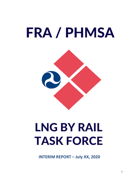



# **LNG BY RAIL TASK FORCE**

**INTERIM REPORT – July XX, 2020**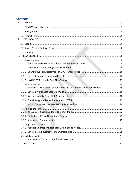# **Contents**

| 1. |                                                                               |  |
|----|-------------------------------------------------------------------------------|--|
|    |                                                                               |  |
|    |                                                                               |  |
| 2. |                                                                               |  |
|    |                                                                               |  |
|    |                                                                               |  |
| 3. |                                                                               |  |
|    |                                                                               |  |
|    |                                                                               |  |
|    |                                                                               |  |
|    |                                                                               |  |
|    |                                                                               |  |
|    |                                                                               |  |
|    | 3.2.1 Evaluate Likely Number of Punctures and Derailment Simulation Models 15 |  |
|    |                                                                               |  |
|    |                                                                               |  |
|    |                                                                               |  |
|    |                                                                               |  |
|    |                                                                               |  |
|    |                                                                               |  |
|    |                                                                               |  |
|    |                                                                               |  |
|    |                                                                               |  |
|    |                                                                               |  |
| 4. |                                                                               |  |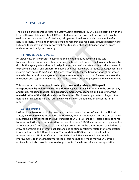# **1. OVERVIEW**

The Pipeline and Hazardous Materials Safety Administration (PHMSA), in collaboration with the Federal Railroad Administration (FRA), created a comprehensive, multi-action task force to evaluate the transportation of Methane, refrigerated liquid, commonly known as liquefied natural gas (LNG) by rail; to synthesize ongoing research and regulatory activities pertaining to LNG; and to identify and fill any potential gaps to ensure that any transportation risks are understood and mitigated properly.

# **1.1 PHMSA's Safety Mission**

PHMSA's mission is to protect people and the environment by advancing the safe transportation of energy and other hazardous materials that are essential to our daily lives. To do this, the agency establishes national policy, sets and enforces standards, conducts research to prevent incidents, and prepares the public and first responders to reduce consequences if an incident does occur. PHMSA and FRA share responsibility for the transportation of hazardous materials by rail and take a system-wide, comprehensive approach that focuses on prevention, mitigation, and response to manage and reduce the risk posed to people and the environment.

This task force contributes to a broader goal **to ensure the safety of LNG-by-rail transportation, by understanding the different aspects of LNG-by-rail risk in the present day and future, reducing that risk, and preparing emergency responders and industry for the materialization of that risk should an incident occur.** This broader goal extends beyond the duration of this task force, and future work will build on the foundation presented in this report.

# **1.2 Background**

LNG has been transported by highways and marine vessels for over 40 years in the United States, and over 50 years internationally. However, federal hazardous materials transportation regulations did not authorize the bulk transport of LNG in rail tank cars, instead permitting rail transport of LNG only as authorized by the conditions of a PHMSA special permit or pursuant to an FRA approval.<sup>1</sup> Due to increased natural gas production in the United States, coupled with a growing domestic and international demand and existing constraints related to transportation infrastructure, the U.S. Department of Transportation (DOT) has determined that rail transportation of LNG is a safe alternative. PHMSA and FRA have found that notable improvements to the technology for rail tank cars has not only made moving LNG by rail achievable, but also provide increased opportunities for safe and efficient transportation.

 $1$  See 49 CFR 174.63(a).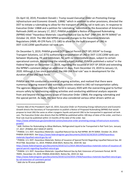On April 10, 2019, President Donald J. Trump issued *Executive Order on Promoting Energy*  Infrastructure and Economic Growth, 13868,<sup>2</sup> which in addition to other provisions, directed the DOT to initiate a rulemaking to allow for the transport of LNG by rail in tank cars. In response to Executive Order 13868 and a petition for rulemaking<sup>3</sup> submitted by the Association of American Railroads (AAR) on January 17, 2017, PHMSA published a Notice of Proposed Rulemaking (NPRM) titled "Hazardous Materials: Liquefied Natural Gas by Rail" (HM-264; 84 FR 56964)4 on October 24, 2019. The HM-264 NPRM proposed changes to the Hazardous Materials Regulations (HMR; 49 CFR Parts 171-180) to allow for the bulk transport of LNG in DOT-113C120W specification rail tank cars.

On December 5, 2019, PHMSA granted DOT Special Permit (DOT-SP) 20534<sup>5</sup> to Energy Transport Solutions, LLC (ETS) authorizing transportation of LNG in DOT-113C120W tank cars between Wyalusing, PA and Gibbstown, NJ, with no intermediate stops, subject to certain operational controls. Recognizing the related subject matter, PHMSA published a notice<sup>6</sup> in the *Federal Register* on December 11, 2019, regarding the issuance of DOT-SP 20534 and extending the NPRM's comment period an additional 21 days, from December 23, 2019 to January 13, 2020. Although it has since published, the HM-264 final rule<sup>7</sup> was in development for the duration of the LNG task force.

PHMSA and FRA conducted a review of ongoing activities, and realized that there were numerous ongoing research and outreach activities related to LNG rail transportation safety. The agencies developed the LNG task force in January 2020 with the overarching goal to further ensure safety by synthesizing existing activities and conducting additional analysis separate from and beyond the regulatory scope of Executive Order 13868, the ongoing rulemaking and the special permit. As such, the task force also considered various other drivers within an

 <sup>2</sup> Section 4(b) of the President's April 10, 2019, *Executive Order on Promoting Energy Infrastructure and Economic Growth* directs the Secretary of Transportation to publish a Notice of Proposed Rulemaking (NPRM) that would propose to treat LNG the same as other cryogenic liquids and permit LNG to be transported in approved rail tank cars. The Executive Order also directs that the NPRM be published within 100 days of date of the order, and that a final rule must be published within 13 months of the date of the order. See

https://www.whitehouse.gov/presidential-actions/executive-order-promoting-energy-infrastructure-economicgrowth/

<sup>&</sup>lt;sup>3</sup> AAR. Petition for Rulemaking to Allow Methane, Refrigerated Liquid to be Transported in Rail Tank Cars. January 17, 2017. [PHMSA-2017-0020 (P-1697)]

<sup>4</sup> PHMSA. U.S. DOT. Hazardous Materials: Liquefied Natural Gas by Rail NPRM. 84 FR 56964. October 24, 2019. PHMSA-2018-0025. See https://www.federalregister.gov/documents/2019/10/24/2019-22949/hazardousmaterials-liquefied-natural-gas-by-rail

<sup>5</sup> PHMSA. U.S. DOT. Hazardous Materials: Notice of Issuance of Special Permit Regarding Liquefied Natural Gas. 84 FR 67768. December 11, 2019. PHMSA-2018-0025; Notice No. 2019-XX. See

https://www.federalregister.gov/documents/2019/12/11/2019-26614/hazardous-materials-notice-of-issuance-ofspecial-permit-regarding-liquefied-natural-gas

<sup>6</sup> PHMSA. U.S. DOT. Hazardous Materials: Liquefied Natural Gas by Rail; Extension of Comment Period. 84 FR 70491. December 23, 2019. PHMSA-2018-0025. Notice No. 2019-14. See

https://www.federalregister.gov/documents/2019/12/23/2019-27656/hazardous-materials-liquefied-natural-gasby-rail-extension-of-comment-period

<sup>7</sup> Add cite to FR once published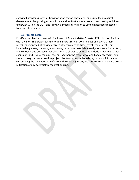evolving hazardous materials transportation sector. These drivers include technological development, the growing economic demand for LNG, various research and testing activities underway within the DOT, and PHMSA's underlying mission to uphold hazardous materials transportation safety.

#### **1.3 Project Team**

PHMSA assembled a cross-disciplined team of Subject Matter Experts (SMEs) in coordination with the FRA. The project team included a core group of 10 task leads and over 20 team members composed of varying degrees of technical expertise. Overall, the project team included engineers, chemists, economists, hazardous materials investigators, technical writers, and contracts and outreach specialists. Each task was structured to include a task lead, a task champion, and several team members. Together, the teams developed and engaged in initial steps to carry out a multi-action project plan to synthesize the existing data and information surrounding the transportation of LNG and to investigate any areas of concern to ensure proper mitigation of any potential transportation risks.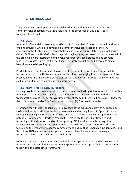# **2. METHODOLOGY**

The project team developed a unique risk-based framework to identify and execute a comprehensive collection of 16 tasks relevant to the properties of LNG and its safe transportation by rail.

#### **2.1 Scope**

As a result of its initial assessment, PHMSA and FRA identified 16 tasks that would synthesize ongoing activities, while also developing a comprehensive cross-section of the LNG environment for further analysis separate from and beyond the regulatory scope of Executive Order 13868 and the HM-264 rulemakings. Although diverse, the project tasks contained within the project plan are interrelated and involve research, outreach, statistical and scenario modeling, risk assessment, cost-benefit analysis, safety evaluation, and physical testing of hazardous materials packaging.

PHMSA believes that the project plan represents a comprehensive, transportation safetyfocused analysis of the LNG environment, while still acknowledging it is not exhaustive of the present and future implications of the transport of LNG by rail. This report will inform further evaluation and future research and regulatory action.

#### **2.2 Know, Predict, Reduce, Prepare**

Looking closely at the broader goal to ensure the safety of LNG-by-rail transportation, it implies four approaches that, taken together, create a cohesive strategy for dealing with the transportation risk of LNG by rail. We simplify this strategy and refer to it here as (1) "know the risk," (2) "predict the risk," (3) "reduce the risk," and (4) "prepare for the risk."

Efforts to "know the risk" expand DOT's knowledge of the types and extent of risk posed by LNG-by-rail transportation, with a focus on research and testing. Efforts to "predict the risk" leverage modeling and simulation software and tools to analyze LNG-by-rail operations and potential risk outcomes. Efforts to "reduce the risk" relate the possible strategies and technologies that decrease the risk of transporting LNG by rail, especially through track inspection, tank car design, and operational factors. Efforts to "prepare for the risk" are focused on the emergency response community and ensure that—should an incident occurand the risks of LNG materialize—emergency responders have the awareness, training, and resources to keep themselves and the public safe.

Naturally, these efforts are interdependent and work together to explore safety concerns of transporting LNG by rail. However, for the purpose of this project plan, Table 1 presents the tasks within the established framework.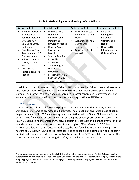| <b>Know the Risk</b> |                            | <b>Predict the Risk</b> |                          | <b>Reduce the Risk</b> |                            | <b>Prepare for the Risk</b> |                        |  |
|----------------------|----------------------------|-------------------------|--------------------------|------------------------|----------------------------|-----------------------------|------------------------|--|
|                      | <b>Empirical Review of</b> | $\bullet$               | Evaluate Likely          | $\bullet$              | <b>Re-Evaluate Costs</b>   | $\bullet$                   | Validate               |  |
|                      | international LNG          |                         | Number of                |                        | and Benefits of ECP        |                             | Emergency              |  |
|                      | <b>Rail Transportation</b> |                         | Punctures and            |                        | <b>Brakes</b>              |                             | Responder              |  |
| $\bullet$            | LNG Loading /              |                         | Derailment               | $\bullet$              | <b>Evaluation of Train</b> |                             | Opinions and           |  |
|                      | <b>Unloading Safety</b>    |                         | <b>Simulation Models</b> |                        | Operational                |                             | <b>Needs</b>           |  |
|                      | Evaluation                 | $\bullet$               | Develop Worst-           |                        | Controls                   | $\bullet$                   | Develop LNG            |  |
| $\bullet$            | <b>Quantitative Risk</b>   |                         | Case Scenario            | $\bullet$              | <b>Automated Track</b>     |                             | <b>Educational and</b> |  |
|                      | Assessment of LNG          |                         | Model                    |                        | Inspection                 |                             | Outreach Plan          |  |
|                      | Transportation             | $\bullet$               | Safety / Security        |                        |                            |                             |                        |  |
| $\bullet$            | Full-Scale Impact          |                         | Route Risk               |                        |                            |                             |                        |  |
|                      | Testing on DOT-            |                         | Assessment               |                        |                            |                             |                        |  |
|                      | 113                        | $\bullet$               | Train Energy and         |                        |                            |                             |                        |  |
| $\bullet$            | LNG UN T75                 |                         | <b>Dynamics</b>          |                        |                            |                             |                        |  |
|                      | Portable Tank Fire-        |                         | Simulator (TEDS)         |                        |                            |                             |                        |  |
|                      | Testing                    | $\bullet$               | <b>Modal Conversion</b>  |                        |                            |                             |                        |  |
|                      |                            |                         | between LNG by           |                        |                            |                             |                        |  |
|                      |                            |                         | <b>Truck and Rail</b>    |                        |                            |                             |                        |  |

#### **Table 1: Methodology for Addressing LNG-by-Rail Risk**

In addition to the 15 tasks included in Table 1, PHMSA initiated a 16th task to coordinate with the Transportation Research Board (TRB) to review the task force's project plan and any completed, in-progress, and planned deliverables to foster continuous improvement in our concerted and continual effort to ensure the safe transportation of LNG by rail.

# **2.3 Timeline**

For the purpose of the task force, the project scope was limited to the 16 tasks, as well as a structured timeframe to promote rapid progress. The project plan and initial phase of action began on January 21, 2020, culminating in a presentation to PHMSA and FRA leadership on April 8, 2020.<sup>8</sup> However, circumstances surrounding the ongoing Coronavirus Disease 2019 (COVID-19) public health emergency delayed certain project tasks and planned events, and the mandatory work-from-home order issued in Washington, DC on March 16, 2020, has introduced additional complexity. Nonetheless, the task force has made substantial progress toward all 16 tasks. PHMSA and FRA staff continue to engage in the completion of all ongoing project tasks, as well as further action within the scope of the DOT's regulatory authority. The DOT remains committed to ensuring the safety of LNG-by-rail transportation.

 <sup>8</sup> Information contained herein may differ slightly from that which was presented on April 8, 2018, as result of further research and analysis that has since been undertaken by the task force team within the progression of the ongoing project tasks. DOT staff continue to engage in the completion of the project tasks and initiate further action, as appropriate.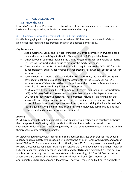# **3. TASK DISCUSSION**

# **3.1 Know the Risk**

Efforts to "know the risk" expand DOT's knowledge of the types and extent of risk posed by LNG-by-rail transportation, with a focus on research and testing.

#### 3.1.1 Empirical Review of International LNG Rail Transportation

PHMSA is engaging with shippers in countries where LNG has been transported safely to gain lessons learned and best practices that can be adopted domestically.

# *Key Takeaways*

- Japan, Germany, Spain, and Portugal transport LNG by rail currently in cryogenic tank cars and International Organization for Standardization (ISO) portable tanks.
- Other European countries including the United Kingdom, France, and Poland authorize LNG-by-rail transport and continue to monitor the market demand.
- Canada authorizes the TC-113 (which is a tank car equivalent to the DOT-113) for LNGby-rail transport, but LNG has not been transported by rail in Canada, except as fuel for locomotive use.
- Several countries around the world including Russia, Estonia, Latvia, India, and Spain have begun pilot projects and feasibility assessments for the use of dual-fuel LNG locomotives as efficient alternatives to diesel locomotives. In North America, there is one railroad currently utilizing dual-fuel locomotives.
- PHMSA met with the Japan Freight Company (JR Freight) and Japan Oil Transportation (JOT) in February 2020 to discuss best practices that have enabled Japan to transport LNG for 2 decades without accident. These practices include a train-length limit that aligns with emergency braking distances; pre-determined routing; natural disaster protocol; limitations on storage time in rail yards; annual training that includes an LNGspecific qualification; and information sharing with employees, communities, and law enforcement and emergency response personnel.

# *Analysis*

PHMSA reviewed international regulations and guidance to identify which countries authorize the transportation of LNG by rail currently. PHMSA also identified countries with the capabilities for loading and transporting LNG by rail that continue to monitor its demand within their respective international markets.

PHMSA engaged directly with Japanese shippers because LNG has been transported by rail in Japan for approximately two decades, first between the cities of Kanazawa, Niigata, and Aomori from 2000 to 2015, and more recently in Hokkaido, from 2013 to the present. In a meeting with PHMSA, the Japanese rail operator JR Freight relayed that there have been no accidents with an LNG container transported by rail in Japan. Demand for LNG cars is typically 8–10 cars per day and is most commonly transported in portable tanks measuring 12, 20, or 31 feet in size. In Japan, there is a universal train length limit for all types of freight (540 meters; or approximately 26 freight cars and 1 locomotive); however, there is no limit based on whether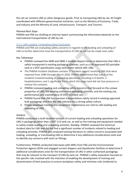the rail car contains LNG or other dangerous goods. Prior to transporting LNG by rail, JR Freight coordinated with different governmental ministries, such as the Ministry of Economy, Trade, and Industry and the Ministry of Land, Infrastructure, Transport, and Tourism.

# *Planned Next Steps*

PHMSA and FRA are drafting an internal report summarizing the informationobtained on the international transportation of LNG by rail.

# 3.1.2 LNG Loading / Unloading Safety Evaluation

PHMSA and FRA are evaluating safety concerns in regards to the loading and unloading of LNG to further determine how the transportation of LNG by rail can be made even safer.

# *Key Takeaways*

- PHMSA reviewed the HMR and 5800.1 Incident Report Forms to determine that LNG is safely transported in existing packaging schemes, such as a UN-approved ISO portable tank or a DOT specification cargo tank motor vehicle (MC 338).
- The PHMSA Incident Database contains 17 incident reports involving LNG that were reported from 1984 through March 2020. PHMSA determined that only 6 of the incidents involved loading or unloading operations, resulting in 0 deaths, 2 hospitalizations, and 1 significant fire in which the cargo tank did not lose pressure or release the contents.
- PHMSA reviewed loading and unloading safety concerns that focused on the unique properties of LNG; the existing authorized packaging schemes; and the existing use, performance, and maintenance of DOT-113 tank cars.
- PHMSA found that LNG has a proven transportation safety record in existing approved bulk packagings and that the LNG industry has a strong safety culture.
- Proper employee training and equipment maintenance are vital to safe loading and unloading of LNG.

# *Analysis*

PHMSA conducted a multi-facetted analysis of current loading and unloading operations for LNG in packagings other than a DOT-113 tank car, as well as the training and equipment needed to safely enable loading and unloading activities. Notably, PHMSA reviewed the historical incident data for LNG and did not find a significant number of incidents related to loading and unloading activities. PHMSA also analyzed existing literature on safety concerns associated with loading, unloading, or transloading LNG to determine if any additional considerations exist and to identify any concerns with tank car fittings.

Furthermore, PHMSA conducted interviews with SMEs from FRA and the Environmental Protection Agency (EPA) and engaged current shippers and liquefaction facilities to determine if additional considerations exist for the transportation of LNG in other authorized packagings that may be relevant to the transport of LNG by tank car. PHMSA's safety evaluation focused on the specific risks involved with the intention of enabling the development of training and dissemination of best practices to ensure workplace safety and minimize risks incidental to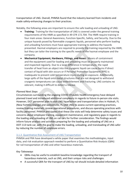transportation of LNG. Overall, PHMSA found that the industry learned from incidents and made safety-enhancing changes to their practices.

Notably, the following areas are important to ensure the safe loading and unloading of LNG:

- **Training:** Training for the transportation of LNG is covered under the general training requirements of the HMR as specified in 49 CFR 172.704. The HMR require training in four main areas: General Awareness, Function-Specific, Safety, and Security. Due to the unique hazards posed by flammable cryogenic liquids, personnel who perform loading and unloading functions must have appropriate training to address the hazards presented. Hazmat employers are required to provide the training required by the HMR, but they can tailor the training to the specific needs of the hazmat employee and the company.
- **Mechanical Equipment, Hardware, Fittings, and Hoses:** Means of containment and the equipment used for loading and unloading must be properly maintained and inspected regularly. Due to a large difference in temperature, the rapid transfer of heat from an object into the cryogenic liquid can cause burns if direct contact of liquid with skin occurs or if Personal Protective Equipment (PPE) is inadequate to prevent cold-temperature injury during an exposure. Additionally, large spills of the liquid onto metal structures that are not designed to withstand cryogenic temperatures can cause embrittlement and fracturing. LNG contains no odorant, making it difficult to detect a release.

# *Planned Next Steps*

Circumstances surrounding the ongoing COVID-19 public health emergency have delayed planned travel and introduced additional complexity in regards to future in-person site visits. However, DOT personnel plan to visit LNG liquefaction and transportation sites in Hialeah, FL (New Fortress Energy) and Jacksonville, FL (JAX LNG) to assess current operating practices, review training materials, review operational procedures, and discuss operating practices with facility personnel. PHMSA anticipates that these site visits will help determine safety issues and concerns about employee training, equipment maintenance, and regulatory gaps in regards to the loading and unloading of LNG on rail cars for further consideration. The findings would inform future analysis and activities preparing for the loading and unloading of LNG on a DOT-113 tank car, with the goal to make the loading, unloading, and transloading of LNG safer by reducing the number of employee errors.

# 3.1.3 Quantitative Risk Assessment of LNG Transportation

PHMSA and FRA have developed a white paper that examines the methodologies, input data, and risk evaluation approach needed to perform a Quantitative Risk Analysis (QRA) for rail transportation of LNG and other hazardous materials.

# *Key Takeaways*

- QRAs may be useful to establish baseline knowledge regarding the transport of hazardous materials, such as LNG, and their unique risks and challenges.
- A successful QRA for the transport of LNG by rail should include detailed information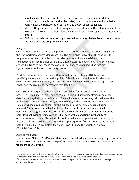about shipment volumes, route details and geography, equipment used, track conditions, accident history and probabilities, types of populations and population density near the transportation corridor, and potential consequences.

- While QRAs generate comprehensive quantitative risk values, the risk values should be viewed in the context of other safety data available and any recognized risk acceptance criteria.
- QRAs can provide the detail and rigor needed to show equivalent levels of safety, when the levels of safety are properly defined.

#### *Analysis*

QRA methodology can evaluate the potential risks to the general population arising from the transportation of hazardous materials. The basic philosophy of a QRA considers the frequency of accidents that lead to the release of hazardous materialsand the consequence of such releases on the involuntarily exposed population. Different metrics are used in QRAs to determine the consequences of accidents, including fatalities, injuries, economic losses, opportunity loss, etc.

PHMSA's approach to performing a QRA for rail transportation of LNG begins with specifying the origin and destination points (O-D pair) and the rail route by which the shipment will be moving. Then, the route length is divided into segments of appropriate length and the risk in each segment is calculated.<sup>9</sup>

QRA procedure requires gathering the statistical data for historical train accidents occurring in mainline, in yards, and releases in filling and unloading stations and other data for the physical characteristics at different locations; performing calculations of the probability of accident occurrence, hazmat release, and its harmful effect areas; and considering the populations that may be exposed to the harmful effects of hazmat released. The subsequent behavior of the released liquid in the environment will determine the magnitude of the risk. In the case of LNG releases, a number of different hazardous behavior outcomes are possible, each with a conditional probability of occurrence upon release. These include pool spread, vapor dispersion with flash fire, pool fire, fire ball, and a boiling liquid expanding vapor explosion (BLEVE). Risk results include both the individual ("Involuntary Individual Risk" - IIR) and the society as a whole ("Societal Risk" - SR).10

#### *Planned Next Steps*

Furthermore, FRA and PHMSA have determined the following areas where ongoing or potential future research may be necessary to perform an accurate QRA for assessing the risks of transporting LNG by rail:

 <sup>9</sup> In the segmentation of the O-D route length, yards—if any—in the route must be included as separate segments. The loading facility and unloading facility are also included in the calculation of the total risk.

<sup>&</sup>lt;sup>10</sup> In the case of societal risk, it is emphasized that all of the population next to the track from the origin to destination should be taken into consideration.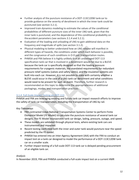- Further analysis of the puncture resistance of a DOT-113C120W tank car to provide guidance on the severity of derailment in which the inner tank could be punctured (see section 3.2.1).
- Improved train dynamics modeling to estimate the values of the conditional probabilities of different puncture sizes of the inner LNG tank, given that the inner tank is punctured, and the dependence of this conditional probability on theaccident parameters (see sections 3.1.4 and 3.2.1).
- Evaluation of the loading and unloading of LNG to gain additional data on the frequency and magnitude of spills (see section 3.1.2).
- Physical modeling to better understand how an LNG release will manifest in different types of hazards, the conditions under which each behavior is possible, and the congruence of such conditions in O-D pair transportation routes.
- PHMSA and FRA believe it is highly unlikely that an undamaged DOT-113 specification tank car that is involved in a derailment would fail due to a BLEVE because the tank car is specifically designed so that the loading pressure requirements for cryogenic materials, the mandated requirements for redundant pressure relief systems (valves and safety vents), and the insulation systems are built into each car. However, it is not possible to state with certainty whether a BLEVE could occur in the case of a LNG tank car derailment and what conditions would need to be present for such an event. Therefore, further research is recommended on this topic to determine the appropriateness of additional packagings, modes, and transportation practices.

#### 3.1.4 Full-Scale Impact Testing on DOT-113

PHMSA and FRA are leveraging existing and future tank car impact research efforts to improve the safety of tank car transportation, including the transportation of LNG by rail.

# *Key Takeaways*

- FRA contracted Volpe National Transportation Systems Center to perform Finite Elemental Model (FE Model) to calculate the puncture resistance of several tank car designs. The FE Model incorporates tank car design, lading, pressure, outage, and speed.
- These models are validated through physical tests, where existing tank cars are instrumented and impacted.
- Recent testing confirmed both the inner and outer tank would puncture near the speed predicted by the FE model.
- PHMSA has entered into an Inter-Agency Agreement (IAA) with the FRA to conduct an impact test on a tank car designed to model the performance of a DOT-113C120W tank car on a smaller scale.
- Further impact testing of a full-scale DOT-113 tank car is delayed pending procurement of an eligible tank car.

# *Analysis*

In November 2019, FRA and PHMSA conducted a full-scale impact test on a current HMR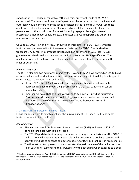specification DOT-113 tank car with a 7/16-inch-thick outer tank made of ASTM A 516 carbon steel. The results confirmed the Department's hypothesis that both the inner and outer tank would puncture near the speed predicted by the FE model. FRA will use these and future test results to inform the FE model, which will then be used to change the parameters to other conditions of interest, including cryogenic lading(s), internal pressure(s), other impact conditions (e.g., impactor size, wall support), and other tank materials and geometries.

On June 11, 2020, FRA and PHMSA conducted an impact test of a DOT-113 "surrogate" tank that was purpose-built with the essential features of a DOT-113 authorized to transport LNG by rail. The surrogate tank featured an outer tank of 9/16-inch TC 128 grade B normalized steel and an inner tank built to the current HMR specification. The results showed that the tank resisted the impact of 17.3 mph without compromising the inner or outer tank.

# *Planned Next Steps*

The DOT is planning two additional impact tests. FRA and PHMSA have entered an IAA to build an intermediate and production tank and test them with a cryogenic liquid (liquid nitrogen) to simulate actual transportation conditions.

- In late 2020, the FRA will conduct a full-scale impact test on an intermediate tank car designed to model the performance of a DOT-113C120W tank car on a smallerscale.
- Another full-scale DOT-113 tank car will be tested in 2021, pending fabrication. The tank car will be manufactured during a commercial production run and will be representative of DOT-113C120W9 tank cars authorized for LNG rail transportation.11

# 3.1.5 LNG UN T75 Portable Tank Fire-Testing

FRA is conducting fire-testing to evaluate the survivability of LNG-laden UN T75 portable tanks in the event of a pool fire.

*Key Takeaways*

- FRA has contracted the Southwest Research Institute (SwRI) to fire-test a T75 ISO portable tank filled with liquid nitrogen.
- The T75 ISO portable tank employs the same basic design characteristics as the DOT-113 tank car. FRA will observe the T75 portable tank's behavior in a pool fire scenario and apply the findings to enhance computer modeling of DOT-113 tank cars in fire scenarios.
- The fire-test has two phases and demonstrates the performance of the tank's pressure relief valve (PRV) system and the survivability of the packaging when exposed to a pool

<sup>&</sup>lt;sup>11</sup> The task force concluded on April 8, 2020. Since then, PHMSA has published the HM-264 final rule, which requires 9/16-inch TC 128B normalized steel for the outer tank of DOT-113C120W9 tank cars used for LNG transportation.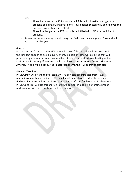fire.

- o Phase 1 exposed a UN T75 portable tank filled with liquefied nitrogen to a propane pool fire. During phase one, PRVs opened successfully and relieved the pressure quickly to avoid a BLEVE.
- $\circ$  Phase 2 will engulf a UN T75 portable tank filled with LNG to a pool fire of propane.
- Administrative and management changes at SwRI have delayed phase 2 from March 2020 to later this year.

# *Analysis*

Phase 1 testing found that the PRVs opened successfully and relieved the pressure in the tank fast enough to avoid a BLEVE event. In addition, data was collected that will provide insight into how fire exposure affects the internal and external heating of the tank. Phase 2 (the engulfment test) will take place at SwRI's remote fire-test site in San Antonio, TX and will be conducted in accordance with the FRA-approved test plan.

# *Planned Next Steps*

PHMSA staff will attend the full-scale UN T75 portable tank fire test after travel restrictions have been rescinded. The results will be analyzed to identify the major findings of interest and further incorporated into draft and final reports. Furthermore, PHMSA and FRA will use this analysis in future computer modeling efforts to predict performance with different tanks and fire scenarios.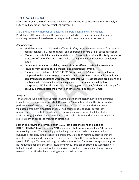# **3.2 Predict the Risk**

Efforts to "predict the risk" leverage modeling and simulation software and tools to analyze LNG-by-rail operations and potential risk outcomes.

#### 3.2.1 Evaluate Likely Number of Punctures and Derailment Simulation Models

PHMSA and FRA are evaluating the likelihood of an LNG release in derailment scenarios and using these results to develop strategies to improve puncture performance.

# *Key Takeaways*

- Modeling is used to validate the effects of safety improvements resulting from specific design changes (i.e., shell thickness) and operational controls (e.g., speed restrictions).
- FRA has contracted Sharma & Associates, Inc. (Sharma) to evaluate the likely number of punctures of a modified DOT-113C tank car using a validated derailment simulation model.
- Derailment simulation modeling can confirm the effects of safety improvements resulting from specific design changes and operational controls.
- The puncture resistance of DOT-113C120W cars with a 7/16-inch outer tank were compared to the puncture resistance of cars with a 9/16-inch outer tank, at multiple derailment speeds. Results were incorporated into worst-case scenario predictions and combined with full-scale impact testing analysis to demonstrate safety levels of transporting LNG by rail. Simulation results suggest that the 9/16-inch tank cars perform about 16 percent better than 7/16-inch tank cars at a speed of 40 mph.

# *Analysis*

Tank cars are subject to various forces during a derailment scenario, including different impactor sizes, shapes, and speeds. FRA engaged Sharma to evaluate the likely puncture performance of a current design and a modified DOT-113C tank car design using a validated derailment simulation model. The Sharma model captures several key parameters (e.g., multiple derailment scenarios, dynamics, impact load distributions, tank car design) and combines them into a probabilistic framework that can evaluate the relative merit of proposed mitigation strategies.

Scenarios involving the current design (7/16-inch outer shell) and the modified DOT-113C120W9 tank car design (9/16-inch outer shell) were modeled in a 100-car unit train configuration. The modeling provided a quantitative prediction about tank car puncture probability in theevent of a derailment. Simulation results suggested that the modified tank cars perform about 16 percent better than the current tank car design at a speed of 40 mph. This methodology provided a theoretical framework for quantifying the risk-reduction benefits that may result from various mitigation strategies. Additionally, it helped to address the overall reduction in risk (i.e., reduced probability of puncture and release) thatis afforded by increasing minimal shell thickness.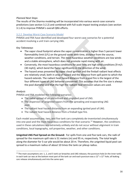#### *Planned Next Steps*

The results of the Sharma modeling will be incorporated into various worst-case scenario predictions (see section 3.2.2) and combined with full-scale impact testing analysis (see section 3.1.4) to improve PHMSA's overall QRA efforts.

# 3.2.2 Develop Worst-Case Scenario Model

PHMSA and FRA have identified and developed four worst-case scenarios for a potential accident involving a unit train carrying LNG.

# *Key Takeaways*

- The vapor cloud footprint where the vapor concentration is higher than 5 percent lower flammability limit (LFL) on the ground varies with time, distance from the source, weather conditions, and terrain. The most hazardous weather conditions are low winds and a stable atmosphere, which does not promote rapid mixing with air.
- Conversely, the most hazardous conditions for pool fires are high wind conditions [9 m/s (30 mph)], which bend the flame significantly in the direction of the wind.
- The hazard areas presented by vapor cloud ignition and the fireball radiant heat effects are relatively small, both in area of hazard and the distance from spill point to which the hazard extends. The radiant heat hazard distance from a pool fire is the largest of the four different types of LNG behavior considered. This assumes that the fire size is always the pool diameter and that the high fire radiant heat emission values are used.

# *Analysis*

PHMSA and FRA modeled the following scenarios:

- The radial spread of an unconfined and unignited pool of LNG.
- The dispersion of unignited vapors from the spreading and evaporating LNG pool.
- The radiant heat hazard distance from an expanding ignited pool of LNG.
- The radiant heat hazard distance from a fireball type fire.

Each model assumed one, two, and five tank cars completely de-inventoried simultaneously into one pool and the most-hazardous conditions for that scenario.<sup>12</sup> However, the conditions used in these calculations are extremely unlikely and do not occur without alignment in train conditions, local topography, soil properties, weather, and other conditions.

**Unignited LNG Pool Spread on the Ground:** For spills from one and five tank cars, the radii of spread for the maximum spill rate is 51 meters (m) and 95 m, respectively. The total length along the diameter for 5-car pile would be about 20 m. Therefore, the unignited liquid pool can spread to a maximum radius of about 10 times the tank car pileup radius.

 $12$  The main assumptions are: 1, 2, and 5 tank car breaches and LNG releases; the puncture hole (in the inner tank) in each tank car was at the bottom most part of the tank car and each puncture was a 12" x 12" hole; all leaking cars release simultaneously and into the same spot.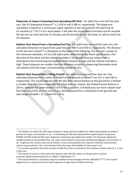**Dispersion of Vapors Emanating from Spreading LNG Pool:** For spills from one and five tank cars, the LFL downwind distance<sup>13</sup> is 1,310 m and 2,380 m, respectively. The dispersion calculation is based on a continuous vapor injection at the rate used for the spill time of 41 seconds (s).<sup>14</sup> At 2.5 m/s wind speed, it will take the cloud about 8 minutes and 45 seconds for the one-car tank spill and 15 minutes and 50 seconds for the five-tank car spill to reach the LFL distance.

**Radiant Heat Hazard from a Spreading Pool Fire:** For spills from one and five tank cars, the calculated distances to hazard from pool fires are 300 m and 670 m, respectively. The distance to the skin burn hazard<sup>15</sup> is calculated on the basis of the following: the fire size is always at the maximum diameter; a 9 m/s (30 mph) wind, which bends the flame significantly in the direction of the wind; and the relative humidity is 50 percent because radiant heat is absorbed by the intervening atmosphere if the distance is large and the relative humidity is high. These distances are smaller than the distances to which a dispersing flammable cloud can extend (until the vapor concentration is below the LFL).

**Radiant Heat Hazard from a Lifting Fireball:** For spills from one and five tank cars, the calculated distances from center of fireball on the ground to hazard<sup>16</sup> are 112 m and 230 m, respectively. The results indicate that the skin burn hazard distance at the ground for a fireball is smaller than that from a pool fire. For a five-tank car release, the fireball hazard distance is 230 m, whereas the same release is 670 m for a pool fire. A fireball puts out more radiant heat flux than a pool fire, but it is short-lived, whereas a pool fire is anchored to the ground and lasts longer (fireball = 15 s; pool fire =  $60$  s).

l

 $13$  The distance to which the LNG vapors disperse, mixing with the ambient air, before being diluted to below 5 percent LFL vapor concentration in air. In evaluating the LNG pool spread while evaporating on the ground, PHMSA and FRA analyzed LNG vapor dispersion using heavy gas dispersion models. The heavy gas dispersion models provide at any specified time, the vapor concentration contours for specified average gas concentration in air. In general, the contour and area of interest is that enclosed within the 5 percent methane concentration contour at ground level. This concentration forms the lower flammability of natural gas in air.

 $14$  41 seconds represents the mean duration of spill from tank cars based on the maximum release rate for 1, 2, and 5 tank cars.

<sup>&</sup>lt;sup>15</sup> The hazard of concern in this case is the distance from the fire center on the ground to a person receiving radiant thermal heat flux of 5 kW/m<sup>2</sup> (1600 Btu/hr  $\text{ft2}$ ).

<sup>&</sup>lt;sup>16</sup> The hazard distance is calculated using the modified thermal dosage criterion [300 {kW/<sup>m2</sup>}<sup>(4/3)</sup> s] for second degree burn to a person from short-term exposure to high level of radiant heat flux.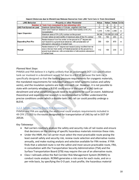| <b>LNG Behavior</b>            | <b>Property or other Parameter</b>                                                                                                                                                                                                                | Value  | Value | <b>Value Units</b> |                |
|--------------------------------|---------------------------------------------------------------------------------------------------------------------------------------------------------------------------------------------------------------------------------------------------|--------|-------|--------------------|----------------|
|                                | <b>Number of Tank Cars (assumed to be) releasing LNG</b>                                                                                                                                                                                          |        |       | 5                  |                |
| <b>LNG Pool Spread on Land</b> | Maximum Spread Radius of Circular, unignited LNG Pool                                                                                                                                                                                             | 51     | 68    | 95                 | m              |
|                                | Down wind maximum distance to Lower Flammability Limit (LFL)<br>Concentration                                                                                                                                                                     | 1,310  | 1,760 | 2,380              | m              |
| <b>Vapor Dispersion</b>        | Maximum area of 5% (LFL) contour on the ground                                                                                                                                                                                                    | 56,300 |       | 103,500 221,300    | m <sup>2</sup> |
|                                | Circular radius (or semi-width) of maximum area of the 5% contour                                                                                                                                                                                 | 134    | 182   | 265                | m              |
| <b>Expanding Pool Fire</b>     | Radial distance from fire center on the ground to 2 <sup>nd</sup> degree skin<br>burn hazard to a ground level observer, with consideration of<br>atmospheric absorption of radiant heat.                                                         | 300    | 424   | 670                | m              |
| Fireball                       | Radial distance for 2 <sup>nd</sup> degree burn hazard (using modified thermal<br>dose criterion) from center of fireball projected on the ground to a<br>ground level observer, with consideration of atmospheric absorption<br>of radiant heat. | 112    | 150   | 230                | m              |

#### *Planned Next Steps*

PHMSA and FRA believe it is highly unlikely that an undamaged DOT-113 specification tank car involved in a derailment would fail due to a BLEVE because the tank car is specifically designed so that the loading pressure requirements for cryogenic materials, the mandated requirements for redundant pressure relief systems (valves and safety vents), and the insulation systems are built into each car. However, it is not possible to state with certainty whether a BLEVE could occur in the case of a LNG tank car derailment and what conditions would need to be present for such an event. Additional theoretical and experimental research is recommended to further understand the precise conditions under which a double-tank LNG rail car could possibly undergo a BLEVE.

#### 3.2.3 Safety / Security Route Risk Assessment

PHMSA and FRA are applying the additional route analysis requirements included in 49 CFR 172.820 to the routes designated for transportation of LNG by rail in DOT-SP 20534.

#### *Key Takeaways*

- Rail carriers routinely analyze the safety and security risks of rail routes and ensure that decisions on the routing of specific hazardous materials minimize these risks.
- Under the HMR, the rail carrier must select the most practicable route posing the least overall safety and security risk, review route selection and alternative routes annually, and make routing analysis and selection available for FRA review. If FRA finds that a selected route is not the safest and most secure practicable route, FRA, in consultation with the Transportation Security Administration (TSA) and the Surface Transportation Board (STB) may require the use of an alternative route.
- Class I railroads utilize the Rail Corridor Risk Management System (RCRMS) to conduct route analysis. RCRMS generates a risk score for each route, and on a per-mile basis, by specifying the O-D pair, track profile, the hazardous material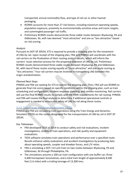transported, annual commodity flow, and type of rail car or other hazmat packaging.

- RCRMS accounts for more than 27 risk factors, including maximum operating speeds, population exposure, proximity to environmentally sensitive areas and iconic targets, and commingled passenger rail traffic.
- Preliminary RCRMS results demonstrate three viable routes between Wyalusing, PA and Gibbstown, NJ, with two deemed "most attractive" and one as "less attractive" based on risk scoring.

# *Analysis*

Pursuant to DOT-SP 20534, ETS is required to provide a shipping plan for the movement of LNG by rail. Upon receipt of the shipping plan, FRA and PHMSA will coordinate with the rail carriers on the finalization of their routing analysis results, which will inform the carriers' route selection process for the proposed shipment of LNG by rail. Preliminary RCRMS results demonstrated three viable routes between Wyalusing, PA and Gibbstown, NJ, with twoof these routes scoring equally as "most attractive" and one route scoring as "less attractive." Four rail carriers may be involved in transporting LNG between this origin and destination.

# *Planned Next Steps*

PHMSA and FRA are waiting for ETS to submit the shipping plan. Then, FRA will use RCRMS to generate final risk scores based on specific conditions within the shipping plan, such as train scheduling and configuration, incident response planning, and remote monitoring. Rail carriers will use the final RCRMS results to comply with the HMR requirements for rail routing. PHMSA and FRA will review the final analysis to determine if additional operational controls or engagement is needed to ensure the safety of LNG by rail along these routes.

# 3.2.4 Train Energy and Dynamics Simulator (TEDS)

PHMSA and FRA are simulating train operations using the Train Energy and Dynamics Simulator (TEDS) on the routes designated for the transportation of LNG by rail in DOT-SP 20534.

# *Key Takeaways*

- FRA developed TEDS in 2014 to conduct safety and risk evaluations, incident investigations, studies of train operations, and ride quality and equipment evaluations.
- TEDS software simulates train operations and performance over a specified route. Results enhance safety evaluations and accident investigations by producing data about operating speeds, coupler and drawbar forces, and L/V ratios.
- FRA is simulating a DOT-113 unit train on two routes between Wyalusing, PA and Gibbstown, NJ through Philadelphia, PA.
- The simulations assume a 100-car train configuration with one buffer car; three 4,400-horsepower locomotives; and a total train length of approximately 8,500 feet (1.6 miles) with a trailing tonnage of 13,300 tons.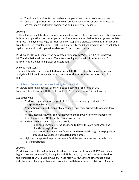- The simulation of route one has been completed and route two is in-progress.
- Unit train operations on route one will produce coupler forces and L/V values that are reasonable and within engineering and industry safety limits.

#### *Analysis*

TEDS software simulates train operations, including acceleration, braking, steady state running, hilly terrain operations, and emergency conditions, over a specified route and generates data for gross train dynamics (e.g., position, velocity, stopping distance), as well as inter-car or intrain forces (e.g., coupler forces). TEDS is a high-fidelity model; its predictions were validated against real-world train operations data and found to be accurate.

PHMSA and FRA will simulate the designated routes from Wyalusing, PA to Gibbstown, NJ. The simulation will include a 100-car train configuration, with 1 buffer car and 3 locomotives in a head-end power configuration.

# *Planned Next Steps*

The simulation has been completed as of July 2020. The resulting Technical Report and analysis will inform future activities to prepare for the future transportation of LNG by rail.

#### 3.2.5 Modal Conversion between LNG by Truck and Rail

PHMSA is performing geospatial analysis to compare the risk profile of LNG transportation by truck with the risk profile of LNG transportation by rail tank car.

# *Key Takeaways*

- PHMSA compared various aspect of LNG transportation by truck with LNG transportation by rail.
- Assumptions included comparable endpoints and three truckloads for every tank car load.
- PHMSA used North American Rail Network and Highway Network shapefiles to flow shipments of LNG from start point to endpoint.
- Each mode has a unique exposure profile.
	- o Rail lines between LNG facilities tend to travel through rural areas and directly through cities.
	- o Truck routes between LNG facilities tend to travel through more populated areas but avoid densely populated urban areas.
- Highway transportation produces more fatalities and injuries per ton-mile than rail transportation.

# *Analysis*

PHMSA compared the rail route identified by the rail carrier through RCRMS with likely highway routes between Wyalusing, PA and Gibbstown, NJ, the O-D pair authorized for the transport of LNG in DOT-SP 20534. These highway routes were determined using industry route planning software and combined with hazmat route restrictions. A spatial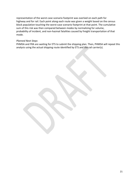representation of the worst-case scenario footprint was overlaid on each path for highway and for rail. Each point along each route was given a weight based on the census block population touching the worst-case scenario footprint at that point. The cumulative sum of this risk was then compared between modes by normalizing for volume, probability of incident, and non-hazmat fatalities caused by freight transportation of that mode.

#### *Planned Next Steps*

PHMSA and FRA are waiting for ETS to submit the shipping plan. Then, PHMSA will repeat this analysis using the actual shipping route identified by ETS and the rail carrier(s).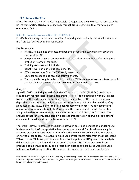#### **3.3 Reduce the Risk**

Efforts to "reduce the risk" relate the possible strategies and technologies that decrease the risk of transporting LNG by rail, especially through track inspection, tank car design, and operational factors.

#### 3.3.1 Re-Evaluate Costs and Benefits of ECP Brakes

PHMSA is evaluating the cost and benefits of requiring electronically controlled pneumatic (ECP) brakes for LNG-by-rail transportation.

#### *Key Takeaways*

- PHMSA re-examined the costs and benefits of requiring ECP brakes on tank cars transporting LNG.
- Equipment costs were assumed to be zero to reflect minimal cost of including ECP brakes on new tank car builds.
- Training costs were still included.
- Benefits were primarily business benefits.
- Effectiveness rates from the TRB study were used.
- Costs far exceeded business and safety benefits.
- There could be long-term benefits to include ECP brake mounts on new tank car builds so that the fleet can switch when economic viability to do so exists.

#### *Analysis*

Signed in 2015, the Fixing America's Surface Transportation Act (FAST Act) produced a requirement for high-hazard flammable trains  $(HHFTs)^{17}$  to be equipped with ECP brakes to increase the performance of braking systems on unit trains. This requirement was dependent on an accurate analysis about the performance of ECP brakes and the safety gains associated. In 2018, after the National Academy of Sciences TRB re-examined its original performance analysis, PHMSA withdrew this requirement considering existing and predicted exposure measures relative to the increased braking performance. The analysis at that time only considered widespread transportation of crude oil and ethanol and did not consider widespread transportation of LNG.

Therefore, PHMSA re-assessed the balance between costs and benefits of mandating ECP brakes assuming LNG transportation has continuous demand. This breakeven analysis assumed equipment costs were zero to reflect the minimal cost of including ECP brakes on new tank car builds. The evaluation also used effectiveness rates from the most recent TRB report on ECP brake performance. To determine potential LNG growth, this analysis did not look at market demand, but assumed that the DOT-113 tank cars would be produced at maximum capacity and all cars both existing and produced would be used full-time for LNG transportation. The analysis did not consider increased production

 $17$ As defined in 49 CFR 171.8, an HHFT means a single train transporting 20 or more loaded tank cars of a Class 3 flammable liquid in a continuous block or a single train carrying 35 or more loaded tank cars of a Class 3 flammable liquid throughout the train consist.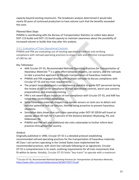capacity beyond existing maximums. The breakeven analysis determined it would take nearly 50 years of continued production to have volume such that the benefits exceeded the costs.

# *Planned Next Steps*

PHMSA is coordinating with the Bureau of Transportation Statistics to collect data about DOT-113 builds and DOT-113 build capacity to maintain awareness about the possibility of increased volume or builds that may alter this analysis.

# 3.3.2 Evaluation of Train Operational Controls

PHMSA and FRA are evaluating use of existing operational controls and verifying compliance with railroad operating practices to ensure safe and effective transportation of LNG by rail.

# *Key Takeaways*

- AAR Circular OT-55, *Recommended Railroad Operating Practices for Transportation of Hazardous Materials* <sup>18</sup> is a joint effort between shippers, car owners, and the railroads to take a proactive approach to the safe transportation of hazardous materials.
- PHMSA and FRA engaged directly with multiple railroads to discuss compliance with Circular OT-55 and key train requirements.
- The project team developed a comprehensive checklist to guide DOT personnel during the review of rail carrier compliance of their operational controls, worst case scenario preparedness, and employee training.
- FRA is not aware of any instances of non-compliance with Circular OT-55, and AAR has noted they recommend compliance.
- Some hazardous materials shippers use remote sensors on tank cars to detect and monitor potential tank car failures, thereby being proactive to prevent hazardous situations.
- Simulation data shows that unit trains operating under DOT-SP 20534 will travel at speeds above 40 mph for 13 percent of the distance between Wyalusing, PA, and Gibbstown, NJ.
- PHMSA and FRA will plan additional site visits nationwide to further inform best practices throughout the country.

# *Analysis*

Originally published in 1990, Circular OT-55 is a detailed protocol establishing recommended railroad operating practices for the transportation of hazardous materials. All Class I rail carriers operating in the United States have implemented the recommended practices, with short-line railroads following on as signatories. Circular OT-55 is comprehensive in its reach, outlining requirements for all train movements that fit within its terms. Notably, Circular OT-55 limits "key trains" to operate with a maximum

 <sup>18</sup> Circular OT-55, *Recommended Railroad Operating Practices for Transportation of Hazardous Materials*, https://www.railinc.com/rportal/documents/18/260773/OT-55.pdf.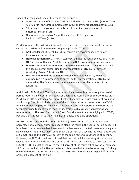speed of 50 mph at all times. "Key trains" are defined as:

- One tank car load of Poison or Toxic Inhalation Hazard (PIH or TIH) (Hazard Zone A, B,C, or D), anhydrous ammonia (UN1005) or ammonia solutions (UN3318), or;
- 20 car loads of intermodal portable tank loads of any combination of hazardous material, or;
- One or more car loads of Spent Nuclear Fuel (SNF), High Level Radioactive Waste (HLRW).

PHMSA reviewed the following information as it pertains to the operational controls of certain rail carriers and requirements regarding Circular OT-55:

- **AAR Circular OT-55-Q:** All Class I rail carriers are recommended to follow themost current revision.
- **Norfolk Southern HM-1:** PHMSA staff verified that the requirements of Circular OT-55-Q are outlined in Norfolk Southern's (NS) current operating practices.
- **DOT-SP 20534 and the comments received:** In December 2019, PHMSA issued this special permit authorizing the transportation of LNG by rail between Wyalusing, PAand Gibbstown, NJ.
- **HM-264 NPRM and the comments received:** In October 2019, PHMSA published an NPRM proposing to authorize the transportation of LNG by rail nationwide. The final rule was under development for the duration of the task force.

Additionally, PHMSA and FRA conducted site visits at two rail carriers along the special permit route: NS and Conrail Shared Asset Operations (Conrail). In support of these visits, PHMSA and FRA developed a Safety Verification Checklist to ensure consistent evaluation and findings. The visits included a tour of the dispatch center; a presentation on OT-55 training for new employees, engineers, and conductors; and opportunity to observe the technology used to identify and monitor key trains, such as mobile applications and remote sensors. The team found that NS and Conrail are not only complying with OT-55, but also that it is built in to their training, self-audits, and daily operations.

PHMSA and FRA analyzed the TEDS simulation (see section 3.2.4) to determine the percentage of maximum authorized speed along the route in the special permit because it is believed that a possible derailment would be less severe if the train were operating at a slower speed. The project team found that 40.2 percent of a specific route was authorized at 50 mph, and additionally 29.7 percent of the same route was authorized at 40 mph. However, the TEDS simulation confirmed that the train will be operating at these lower speeds due to terrain and curvature of the track. In fact, as it applied to a 100-car train of LNG, the TEDS simulation indicated that 13 percent of the route will allow for 50 mph and 17.5 percent will allow for 40 mph. In total, this means that a train transporting LNG along one of the routes authorized under DOT-SP 20534 will be traveling at a speed of 35 mph or less 69.5 percent of the time.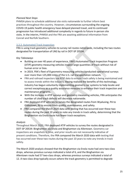#### *Planned Next Steps*

PHMSA plans to schedule additional site visits nationwide to further inform best practices throughout the country. However, circumstances surrounding the ongoing COVID-19 public health emergency have delayed planned travel, and its continued progression has introduced additional complexity in regards to future in-person site visits. In the interim, PHMSA and the FRA are awaiting additional information from Conrail and Norfolk Southern.

# 3.3.3 Automated Track Inspection

FRA is using track geometry vehicles to survey rail routes nationwide, including the two routes designated for transportation of LNG by rail in DOT-SP 20534.

# *Key Takeaways*

- Building on over 40 years of experience, FRA's Automated Track Inspection Program (ATIP) geometry measuring vehicles inspect large quantities of track without risk of human error or bias.
- In 2019, FRA's fleet of 8 geometry measuring vehicles conducted operational surveys over more than 125,000 miles of the U.S. rail transportation network.
- FRA and railroad inspectors use ATIP data to ensure track safety is being maintained and to assess trends within the industry. Having realized the benefits of this technology, industry has begun voluntarily implementing geometry car systems to help locate and correct exceptions as a quality assurance measure to enhance their track inspection and maintenance programs.
- With the increase in ATIP surveys and geometry measuring vehicles, FRA anticipates the number of cited track defects will decrease nationwide.
- FRA deployed ATIP vehicles to survey the designated routes from Wyalusing, PA to Gibbstown, NJ to ensure track quality, maintenance, and safety.
- FRA compared the March 2020 data with testing that has occurred over these two routes during the past 10 years to note any trends in track safety, determining that the Binghamton via Enola route has fewer track exceptions.

#### *Analysis*

Throughout March 2020, FRA deployed ATIP vehicles to survey the routes designated in DOT-SP 20534: Binghamton via Enola and Binghamton via Allentown. Geometry car inspections are snapshots in time, and prior results are not necessarily indicative of present conditions. Therefore, the FRA compared the March 2020 data with testing that has occurred over these two routes during the past 10 years to note any trends in track safety.

The March 2020 analysis showed that the Binghamton via Enola route had zero two-class drops, whereas previous surveys indicated a total of 6, and the Binghamton via Allentown route had 57 two-class drops, whereas previous surveys indicated a total of 12. A two-class drop typically occurs where the track geometry is permitted to degrade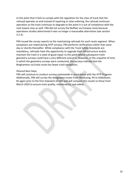to the point that it fails to comply with the regulation for the class of track that the railroad operates at and instead of repairing or slow ordering, the railroad continues operation as the track continues to degrade to the point it is out of compliance with the next lowest class as well. FRA did not survey the Buffalo via Conway route because operations studies determined it was no longer a reasonable alternative (see section 3.2.3).

FRA issued the survey reports to the maintaining railroads for each route segment. When exceptions are noted during ATIP surveys, FRA performs verifications either that same day or shortly thereafter. While compliance with the Track Safety Standards are mandatory, railroads have the opportunity to upgrade their infrastructure and/or maintain the track in a state of good repair to the point where subsequent track geometry surveys could have a very different outcome. However, in the snapshot of time in which the geometry surveys were conducted, the surveys indicate that the Binghamton via Enola route has fewer track exceptions.

#### *Planned Next Steps*

FRA will continue to conduct surveys nationwide in accordance with the ATIP Program. Additionally, FRA will survey the designated routes from Wyalusing, PA to Gibbstown, NJ again prior to the first shipment of LNG and will compare the results to those from March 2020 to ensure track quality, maintenance, and safety.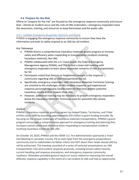# **3.4 Prepare for the Risk**

Efforts to "prepare for the risk" are focused on the emergency response community and ensure that—should an incident occur and the risks of LNG materialize—emergency responders have the awareness, training, and resources to keep themselves and the public safe.

#### 3.4.1 Validate Emergency Responder Opinions and Needs

PHMSA is engaging the emergency response community to ensure they have the information and tools to safely respond to an LNG-by-rail incident.

#### *Key Takeaways*

- PHMSA directs a comprehensive hazardous materials grants program to increase safety and efficiency when responding to transportation incidents involving hazardous materials, like LNG.
- PHMSA collaborated with the U.S. Coast Guard, the Federal Emergency Management Agency (FEMA), and FRA to host a town-hall meeting with emergency responders to learn about responder concerns of LNG transportation by rail.
- Participants noted that there is no heightened concern in the response community regarding LNG or LNG transportation by rail.
- Specifically, emergency responders with Hazardous Materials Technician training are oriented to the challenges of LNG incident response, and experienced response personnel regularly handle materials that have greater potential hazardous results and/or impacts than LNG.
- However, additional training may be necessary to prepare emergency responders below the Hazardous Materials Technician level for potential LNG release incidents.

#### *Analysis*

PHMSA's hazardous materials grants program has helped States, Territories, and Tribal entities since 1990 by providing approximately \$20 million in grant funding annually. By focusing on the unique challenges of hazardous materials transportation, PHMSA's grants program encourages a comprehensive approach to emergency training and planning that increases overall safety and efficiency when responding to transportation incidents involving hazardous materials, like LNG.

On October 14, 2019, PHMSA and the FEMA U.S. Fire Administration sponsored a Town Hall Meeting in Lancaster County, PA to seek input from the emergency preparedness community and its stakeholders to better inform the DOT about their needs should LNG by rail be authorized. The meeting consisted of a series of technical presentations on LNG transportation risks and incident response protocols, including known safety hazards, current handling and response procedures, and emergency response community readiness. Attendees provided general inputs on issues related to improving the overall effective response capability in the event of a rail incident of LNG and had an opportunity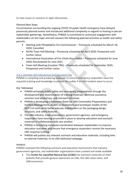to raise issues or concerns in open discussions.

# *Planned Next Steps*

Circumstances surrounding the ongoing COVID-19 public health emergency have delayed previously planned events and introduced additional complexity in regards to hosting in-person stakeholder gatherings. Nonetheless, PHMSA is committed to continued engagement with stakeholders on this topic and will reassess the following planned activities as health and safety permits:

- Meeting with Philadelphia Fire Commissioner Previously scheduled for March 18, 2020; Cancelled
- NY/NJ Town Hall Meeting Previously scheduled for April 2020; Postponed until further notice
- International Association of Fire Chiefs Roundtable Previously scheduled for June 2020; Rescheduled for June 2021
- Town Hall Meeting (Location TBD) Previously scheduled for September 2020; Postponed until further notice

# 3.4.2 Develop LNG Educational and Outreach Plan

PHMSA is compiling and producing materials to ensure emergency responders have the requisite training and knowledge to protect the public if an LNG incident were to occur.

# *Key Takeaways*

- PHMSA enhances public safety and emergency preparedness through the development and dissemination of training materials, technical assistance, seminars and workshops, and outreach initiatives.
- PHMSA is developing a Reference Sheet for LNG Commodity Preparedness and Incident Management, as well as illustrations and prototype models of the DOT-113 tank car to better educate stakeholders on the packaging design, structure, and safety features.
- The LNG industry, trade associations, government agencies, and emergency responders have existing structures in place to develop education and outreach materials in collaboration with one another.
- PHMSA is facilitating increased coordination between stakeholders to improve education outcomes and ensure that emergency responders receive the necessary LNG response training.
- PHMSA will publish any relevant outreach and education materials, including links to external materials, to its LNG-dedicated webpage.

# *Analysis*

PHMSA reviewed the following outreach and education mechanisms that industry, government agencies, and stakeholder organizations have created and made available.

• The **Center for Liquefied Natural Gas (CLNG)** has outreach materials on their website that provide general awareness on LNG, the LNG value chain, and LNG economics.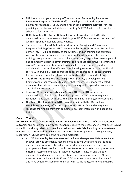- FRA has provided grant funding to **Transportation Community Awareness Emergency Response (TRANSCAER®)** to develop an LNG workshop for emergency responders. CLNG and the **American Petroleum Institute (API)** are providing expertise and will deliver content by Fall 2020, with the first workshop scheduled for Winter 2021.
- **USCG Liquefied Gas Carrier National Center of Expertise (LGC NCOE)** has developed various resources and trainings for UCSG Marine Inspectors, many of which are publicly available on its website.
- The seven major **Class I Railroads** work with the **Security and Emergency Response Training Center (SERTC** - operated by the Transportation Technology Center, Inc. [TTCI], a subsidiary of the **AAR**) to conduct training and outreach with local emergency response organizations. Class I railroads also conduct trainings along routes to ensure that local emergency responders receive general and commodity-specific hazmat training. The railroads also actively promote the AskRail® mobile application, which is available to emergency responders to quickly and accurately identify a commodity being transported in a specific rail car. As with crude oil, there is precedent, for the railroads to sponsor trainings for emergency responders along their routes based on commodity flow.
- The **Short Line Safety Institute (SLSI)**, a DOT grantee, is developing LNG trainings and other resources to ensure that emergency responders located near short linerailroads receive adequate training and preparedness resources ahead of any LNG transport.
- **Texas A&M Engineering Extension Service (TEEX)**, a DOT grantee, has developed an LNG spill control and fire suppression course for emergency responders and workswith USCG to deliver trainings to emergency responders.
- **Northeast Gas Association (NGA)**, in partnership with the **Massachusetts Firefighting Academy**, offers a comprehensive LNG safety and emergency response trainingprogram that combines classroom instruction and hands-on training.

# *Planned Next Steps*

PHMSA will work to facilitate coordination between organizations to influence education outcomes and ensure that emergency responders receive the necessary LNG response training and will publish any relevant outreach and education materials, including links to external materials, to its LNG-dedicated webpage. Additionally, to supplement existing industry resources, PHMSA is developing the following materials:

• An **LNG Commodity Preparedness and Incident Management Reference Sheet** that will provide emergency response organizations with a standard incident management framework based on pre-incident planning and preparedness principles and best practices. It will cover transportation safety and precautions, hazard assessment and risk, rail safety procedures, logistics, and the tools, equipment, and resources necessary to prepare for and respond to LNG rail transportation incidents. PHMSA and DOE-Hammer have entered into an IAA and have begun to assemble a team of SMEs, to include government, industry,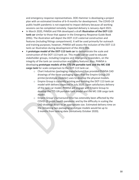and emergency response representatives. DOE-Hammer is developing a project plan with an estimated timeline of 6–9 months for development. The COVID-19 public health pandemic is not expected to impact delivery because all working sessions can be completed remotely. Expected delivery is January–April 2021.

- In March 2020, PHMSA and FRA developed a draft **illustration of the DOT-113 tank car** similar to those that appear in the Emergency Response Guide Book (ERG). The illustration will depict the DOT-113's external construction and features (including fittings compartment). It will be used primarily for outreach and training purposes; however, PHMSA will assess the inclusion of the DOT-113 tank car illustration during development of the 2024 ERG.
- A **prototype model of the DOT-113 tank car** to demonstrate the scale and construction of the DOT-113 tank car. This model can be used to educate stakeholder groups, including Congress and emergency responders, on the integrity of the tank car construction and safety features. Also, PHMSA is developing **prototype models of the T75 UN portable tank and the MC-338 cargo tank** for scale comparison to the DOT-113 tank car.
	- o Chart Industries (packaging manufacturer) has provided PHMSA CAD drawings of the three packaging types that the Empire Group (3D printer/prototype modeler) uses to develop the physical models.
	- o Empire Group is currently printing and building the DOT-113 tank car model with delivery expected in July 2020. Upon satisfactory delivery of the tank car model, PHMSA will engage with Empire Group to develop the T75 UN portable tank model and the MC-338 cargo tank model.
	- o Empire Group's turnaround time has ostensibly been affected by the COVID-19 public health pandemic and by the difficulty in scaling the CAD drawings down to an appropriate size. Estimated delivery time on the remaining two packaging prototype models would be up to 3 months from tasking date (tentatively October 2020).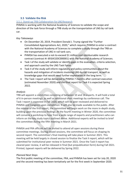# **3.5 Validate the Risk**

#### 3.5.1 Stand-up TRB Collaboration for LNG Research

PHMSA is working with the National Academy of Sciences to validate the scope and direction of the task force through a TRB study on the transportation of LNG by rail tank car.

#### *Key Takeaways*

- On December 20, 2019, President Donald J. Trump signed the "Further Consolidated Appropriations Act, 2020," which requires PHMSA to enter a contract with the National Academy of Sciences to complete a study through the TRB on the transportation of LNG in rail tank cars.
- PHMSA has executed a not-to-exceed \$1 million cost reimbursable research contract (contract #: 693JK320C000001) with the National Academy of Sciences.
- Task I of the study will validate or identify gaps in the evaluation, criteria selection, and approach used by the LNG Task Force.
- Task II of the study will inform regulatory and policy communities about the hazards and mitigation of incidents involving LNG-by-rail transport, as well as knowledge gaps that would need further exploration in the long term.
- The Task I report will be delivered to PHMSA 7 months after contract execution (estimated November 2020) and the final report for Task II is expected Spring 2022.

#### *Analysis*

TRB will appoint a committee consisting of between 10 and 14 experts. It will hold a total of 6 in-person meetings, as well as additional short meetings by conference call. The Task I report is expected in Fall 2020, which will be peer reviewed and delivered to PHMSA and Congress upon completion. It will also be made available to the public. After the release of the first report, the committee will begin work on the more in-depth study, building upon the previous findings. At the fourth meeting in Winter 2020, the committee will convene a workshop to hear from a wide range of experts and practitioners who can inform on the key study topics outlined above. Additional experts will be invited to brief the committee during the fifth meeting in March 2021.

PHMSA and FRA officials will be invited to attend all open sessions during these committee meetings. During closed sessions, the committee will focus on shaping its second report. The committee's final meeting will take place in Summer 2021. This meeting will be held largely in closed session to finalize the Task II report, which will be submitted for institutional peer review in Summer 2021. Once the Task II report has cleared peer review, it will be released in final (but prepublication form) during Fall 2021. Printed, typeset reports will be delivered by Spring 2022.

#### *Planned Next Steps*

The first public meeting of the committee, FRA, and PHMSA has been set for July 20, 2020 and the second meeting has been tentatively set for the first week in September 2020.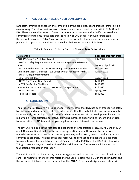# **4. TASK DELIVERABLES UNDER DEVELOPMENT**

DOT staff continue to engage in the completion of the project tasks and initiate further action, as necessary. Therefore, various task deliverables are under development within PHMSA and FRA. These deliverables seek to foster continuous improvement in the DOT's concerted and continual effort to ensure the safe transportation of LNG by rail. Although referenced throughout this report, Table 2 consolidates the deliverables that are currently underway or planned in support of the task force, as well as their expected date of delivery.

| <b>Deliverable</b>                                                  | <b>Expected Delivery Date</b> |  |  |
|---------------------------------------------------------------------|-------------------------------|--|--|
| DOT-113 Tank Car Prototype Model                                    | <b>July 2020</b>              |  |  |
| LNG Commodity Preparedness and Incident Management Reference        |                               |  |  |
| Sheet                                                               | January - April 2021          |  |  |
| T75 UN Portable Tank and the MC-338 Cargo Tank Prototype Models     | October 2020                  |  |  |
| Derailment Model Simulations- Evaluation Of Risk Reduction From LNG | August 2020                   |  |  |
| <b>Tank Car Design Improvements</b>                                 |                               |  |  |
| <b>TEDS Technical Report</b>                                        | August 2020                   |  |  |
| UN T75 Fire-Testing Draft Report                                    | <b>Fall 2021</b>              |  |  |
| Un T75 Fire-Testing Final Report                                    | <b>Fall 2021</b>              |  |  |
| Internal Report on International LNG by Rail Transportation         | <b>Fall 2020</b>              |  |  |
| <b>TRB Task I Report</b>                                            | Spring 2022                   |  |  |
| <b>TRP Task II Report</b>                                           | <b>Fall 2020</b>              |  |  |

# **Table 2: Expected Delivery Dates of Ongoing Task Deliverables**

# **5. CONCLUSION**

The properties of LNG are well understood. History shows that LNG has been transported safely by highways and marine vessels for decades both within the United States and internationally. More recently, technological and scientific advancements in tank car development have made rail a viable transportation alternative, providing increased opportunities for safe and efficient transportation of LNG to meet the growing domestic and international demand.

The HM-264 final rule is the first step to enabling the transportation of LNG by rail, and PHMSA and FRA are confident that it will ensure transportation safety. However, the hazardous materials transportation sector is constantly evolving and, as such, research and analysis must continue to progress. The goal of the task force was to conduct additional analysis separate from and beyond the regulatory scope of Executive Order 13868 and the HM-264 rulemakings. This goal extends beyond the duration of this task force, and future work will build on the foundation presented in this report.

The task force did not identify any new safety gaps related to the transportation of LNG in tank cars. The findings of the task force related to the use of Circular OT-55-Q in the rail industry and the increased thickness for the outer tank of the DOT-113 tank car design are consistent with